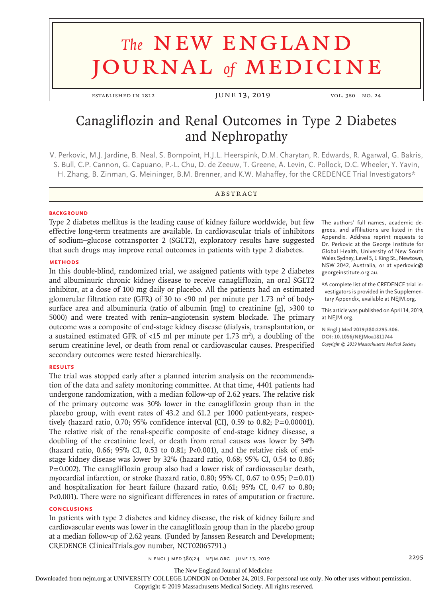# **The NEW ENGLAND** journal *of* medicine

ESTABLISHED IN 1812 **JUNE 13, 2019** vol. 380 No. 24

# Canagliflozin and Renal Outcomes in Type 2 Diabetes and Nephropathy

V. Perkovic, M.J. Jardine, B. Neal, S. Bompoint, H.J.L. Heerspink, D.M. Charytan, R. Edwards, R. Agarwal, G. Bakris, S. Bull, C.P. Cannon, G. Capuano, P.-L. Chu, D. de Zeeuw, T. Greene, A. Levin, C. Pollock, D.C. Wheeler, Y. Yavin, H. Zhang, B. Zinman, G. Meininger, B.M. Brenner, and K.W. Mahaffey, for the CREDENCE Trial Investigators\*

# **ABSTRACT**

# **BACKGROUND**

Type 2 diabetes mellitus is the leading cause of kidney failure worldwide, but few effective long-term treatments are available. In cardiovascular trials of inhibitors of sodium–glucose cotransporter 2 (SGLT2), exploratory results have suggested that such drugs may improve renal outcomes in patients with type 2 diabetes.

# **METHODS**

In this double-blind, randomized trial, we assigned patients with type 2 diabetes and albuminuric chronic kidney disease to receive canagliflozin, an oral SGLT2 inhibitor, at a dose of 100 mg daily or placebo. All the patients had an estimated glomerular filtration rate (GFR) of 30 to <90 ml per minute per 1.73 m<sup>2</sup> of bodysurface area and albuminuria (ratio of albumin [mg] to creatinine [g], >300 to 5000) and were treated with renin–angiotensin system blockade. The primary outcome was a composite of end-stage kidney disease (dialysis, transplantation, or a sustained estimated GFR of <15 ml per minute per 1.73 m<sup>2</sup>), a doubling of the serum creatinine level, or death from renal or cardiovascular causes. Prespecified secondary outcomes were tested hierarchically.

# **RESULTS**

The trial was stopped early after a planned interim analysis on the recommendation of the data and safety monitoring committee. At that time, 4401 patients had undergone randomization, with a median follow-up of 2.62 years. The relative risk of the primary outcome was 30% lower in the canagliflozin group than in the placebo group, with event rates of 43.2 and 61.2 per 1000 patient-years, respectively (hazard ratio, 0.70; 95% confidence interval [CI], 0.59 to 0.82; P=0.00001). The relative risk of the renal-specific composite of end-stage kidney disease, a doubling of the creatinine level, or death from renal causes was lower by 34% (hazard ratio, 0.66; 95% CI, 0.53 to 0.81; P<0.001), and the relative risk of endstage kidney disease was lower by 32% (hazard ratio, 0.68; 95% CI, 0.54 to 0.86; P=0.002). The canagliflozin group also had a lower risk of cardiovascular death, myocardial infarction, or stroke (hazard ratio, 0.80; 95% CI, 0.67 to 0.95;  $P=0.01$ ) and hospitalization for heart failure (hazard ratio, 0.61; 95% CI, 0.47 to 0.80; P<0.001). There were no significant differences in rates of amputation or fracture.

# **CONCLUSIONS**

In patients with type 2 diabetes and kidney disease, the risk of kidney failure and cardiovascular events was lower in the canagliflozin group than in the placebo group at a median follow-up of 2.62 years. (Funded by Janssen Research and Development; CREDENCE ClinicalTrials.gov number, NCT02065791.)

The authors' full names, academic degrees, and affiliations are listed in the Appendix. Address reprint requests to Dr. Perkovic at the George Institute for Global Health, University of New South Wales Sydney, Level 5, 1 King St., Newtown, NSW 2042, Australia, or at vperkovic@ georgeinstitute.org.au.

\*A complete list of the CREDENCE trial investigators is provided in the Supplementary Appendix, available at NEJM.org.

This article was published on April 14, 2019, at NEJM.org.

**N Engl J Med 2019;380:2295-306. DOI: 10.1056/NEJMoa1811744** *Copyright © 2019 Massachusetts Medical Society.*

The New England Journal of Medicine

Downloaded from nejm.org at UNIVERSITY COLLEGE LONDON on October 24, 2019. For personal use only. No other uses without permission.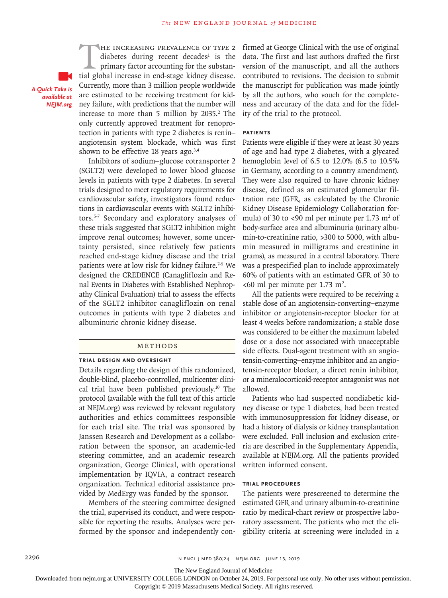*A Quick Take is available at NEJM.org*

THE INCREASING PREVALENCE OF TYPE 2<br>diabetes during recent decades<sup>1</sup> is the<br>primary factor accounting for the substan-<br>tial global increase in end-stage kidney disease. diabetes during recent decades<sup>1</sup> is the primary factor accounting for the substantial global increase in end-stage kidney disease. Currently, more than 3 million people worldwide are estimated to be receiving treatment for kidney failure, with predictions that the number will increase to more than 5 million by 2035.<sup>2</sup> The only currently approved treatment for renoprotection in patients with type 2 diabetes is renin– angiotensin system blockade, which was first shown to be effective 18 years ago. $3,4$ 

Inhibitors of sodium–glucose cotransporter 2 (SGLT2) were developed to lower blood glucose levels in patients with type 2 diabetes. In several trials designed to meet regulatory requirements for cardiovascular safety, investigators found reductions in cardiovascular events with SGLT2 inhibitors.5-7 Secondary and exploratory analyses of these trials suggested that SGLT2 inhibition might improve renal outcomes; however, some uncertainty persisted, since relatively few patients reached end-stage kidney disease and the trial patients were at low risk for kidney failure.<sup>7-9</sup> We designed the CREDENCE (Canagliflozin and Renal Events in Diabetes with Established Nephropathy Clinical Evaluation) trial to assess the effects of the SGLT2 inhibitor canagliflozin on renal outcomes in patients with type 2 diabetes and albuminuric chronic kidney disease.

#### Methods

#### **Trial Design and Oversight**

Details regarding the design of this randomized, double-blind, placebo-controlled, multicenter clinical trial have been published previously.10 The protocol (available with the full text of this article at NEJM.org) was reviewed by relevant regulatory authorities and ethics committees responsible for each trial site. The trial was sponsored by Janssen Research and Development as a collaboration between the sponsor, an academic-led steering committee, and an academic research organization, George Clinical, with operational implementation by IQVIA, a contract research organization. Technical editorial assistance provided by MedErgy was funded by the sponsor.

Members of the steering committee designed the trial, supervised its conduct, and were responsible for reporting the results. Analyses were performed by the sponsor and independently confirmed at George Clinical with the use of original data. The first and last authors drafted the first version of the manuscript, and all the authors contributed to revisions. The decision to submit the manuscript for publication was made jointly by all the authors, who vouch for the completeness and accuracy of the data and for the fidelity of the trial to the protocol.

# **Patients**

Patients were eligible if they were at least 30 years of age and had type 2 diabetes, with a glycated hemoglobin level of 6.5 to 12.0% (6.5 to 10.5% in Germany, according to a country amendment). They were also required to have chronic kidney disease, defined as an estimated glomerular filtration rate (GFR, as calculated by the Chronic Kidney Disease Epidemiology Collaboration formula) of 30 to <90 ml per minute per 1.73 m<sup>2</sup> of body-surface area and albuminuria (urinary albumin-to-creatinine ratio, >300 to 5000, with albumin measured in milligrams and creatinine in grams), as measured in a central laboratory. There was a prespecified plan to include approximately 60% of patients with an estimated GFR of 30 to  $<00$  ml per minute per 1.73 m<sup>2</sup>.

All the patients were required to be receiving a stable dose of an angiotensin-converting–enzyme inhibitor or angiotensin-receptor blocker for at least 4 weeks before randomization; a stable dose was considered to be either the maximum labeled dose or a dose not associated with unacceptable side effects. Dual-agent treatment with an angiotensin-converting–enzyme inhibitor and an angiotensin-receptor blocker, a direct renin inhibitor, or a mineralocorticoid-receptor antagonist was not allowed.

Patients who had suspected nondiabetic kidney disease or type 1 diabetes, had been treated with immunosuppression for kidney disease, or had a history of dialysis or kidney transplantation were excluded. Full inclusion and exclusion criteria are described in the Supplementary Appendix, available at NEJM.org. All the patients provided written informed consent.

#### **Trial Procedures**

The patients were prescreened to determine the estimated GFR and urinary albumin-to-creatinine ratio by medical-chart review or prospective laboratory assessment. The patients who met the eligibility criteria at screening were included in a

The New England Journal of Medicine

Downloaded from nejm.org at UNIVERSITY COLLEGE LONDON on October 24, 2019. For personal use only. No other uses without permission.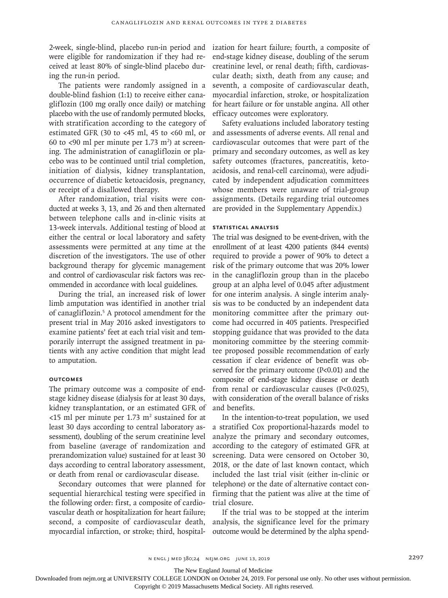2-week, single-blind, placebo run-in period and were eligible for randomization if they had received at least 80% of single-blind placebo during the run-in period.

The patients were randomly assigned in a double-blind fashion (1:1) to receive either canagliflozin (100 mg orally once daily) or matching placebo with the use of randomly permuted blocks, with stratification according to the category of estimated GFR (30 to <45 ml, 45 to <60 ml, or 60 to <90 ml per minute per 1.73  $m<sup>2</sup>$ ) at screening. The administration of canagliflozin or placebo was to be continued until trial completion, initiation of dialysis, kidney transplantation, occurrence of diabetic ketoacidosis, pregnancy, or receipt of a disallowed therapy.

After randomization, trial visits were conducted at weeks 3, 13, and 26 and then alternated between telephone calls and in-clinic visits at 13-week intervals. Additional testing of blood at either the central or local laboratory and safety assessments were permitted at any time at the discretion of the investigators. The use of other background therapy for glycemic management and control of cardiovascular risk factors was recommended in accordance with local guidelines.

During the trial, an increased risk of lower limb amputation was identified in another trial of canagliflozin.<sup>5</sup> A protocol amendment for the present trial in May 2016 asked investigators to examine patients' feet at each trial visit and temporarily interrupt the assigned treatment in patients with any active condition that might lead to amputation.

# **Outcomes**

The primary outcome was a composite of endstage kidney disease (dialysis for at least 30 days, kidney transplantation, or an estimated GFR of  $<$ 15 ml per minute per 1.73 m<sup>2</sup> sustained for at least 30 days according to central laboratory assessment), doubling of the serum creatinine level from baseline (average of randomization and prerandomization value) sustained for at least 30 days according to central laboratory assessment, or death from renal or cardiovascular disease.

Secondary outcomes that were planned for sequential hierarchical testing were specified in the following order: first, a composite of cardiovascular death or hospitalization for heart failure; second, a composite of cardiovascular death, myocardial infarction, or stroke; third, hospital-

ization for heart failure; fourth, a composite of end-stage kidney disease, doubling of the serum creatinine level, or renal death; fifth, cardiovascular death; sixth, death from any cause; and seventh, a composite of cardiovascular death, myocardial infarction, stroke, or hospitalization for heart failure or for unstable angina. All other efficacy outcomes were exploratory.

Safety evaluations included laboratory testing and assessments of adverse events. All renal and cardiovascular outcomes that were part of the primary and secondary outcomes, as well as key safety outcomes (fractures, pancreatitis, ketoacidosis, and renal-cell carcinoma), were adjudicated by independent adjudication committees whose members were unaware of trial-group assignments. (Details regarding trial outcomes are provided in the Supplementary Appendix.)

# **Statistical Analysis**

The trial was designed to be event-driven, with the enrollment of at least 4200 patients (844 events) required to provide a power of 90% to detect a risk of the primary outcome that was 20% lower in the canagliflozin group than in the placebo group at an alpha level of 0.045 after adjustment for one interim analysis. A single interim analysis was to be conducted by an independent data monitoring committee after the primary outcome had occurred in 405 patients. Prespecified stopping guidance that was provided to the data monitoring committee by the steering committee proposed possible recommendation of early cessation if clear evidence of benefit was observed for the primary outcome (P<0.01) and the composite of end-stage kidney disease or death from renal or cardiovascular causes (P<0.025), with consideration of the overall balance of risks and benefits.

In the intention-to-treat population, we used a stratified Cox proportional-hazards model to analyze the primary and secondary outcomes, according to the category of estimated GFR at screening. Data were censored on October 30, 2018, or the date of last known contact, which included the last trial visit (either in-clinic or telephone) or the date of alternative contact confirming that the patient was alive at the time of trial closure.

If the trial was to be stopped at the interim analysis, the significance level for the primary outcome would be determined by the alpha spend-

The New England Journal of Medicine

Downloaded from nejm.org at UNIVERSITY COLLEGE LONDON on October 24, 2019. For personal use only. No other uses without permission.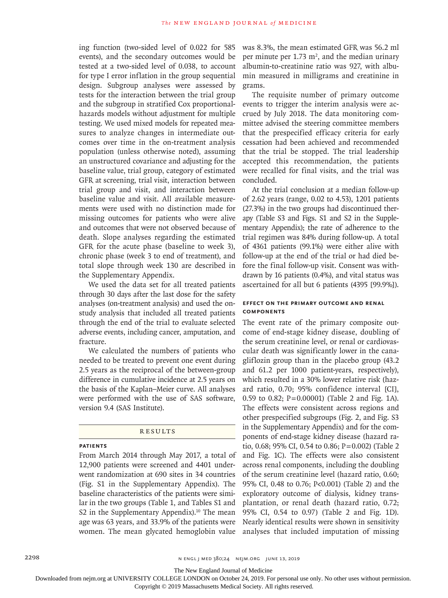ing function (two-sided level of 0.022 for 585 events), and the secondary outcomes would be tested at a two-sided level of 0.038, to account for type I error inflation in the group sequential design. Subgroup analyses were assessed by tests for the interaction between the trial group and the subgroup in stratified Cox proportionalhazards models without adjustment for multiple testing. We used mixed models for repeated measures to analyze changes in intermediate outcomes over time in the on-treatment analysis population (unless otherwise noted), assuming an unstructured covariance and adjusting for the baseline value, trial group, category of estimated GFR at screening, trial visit, interaction between trial group and visit, and interaction between baseline value and visit. All available measurements were used with no distinction made for missing outcomes for patients who were alive and outcomes that were not observed because of death. Slope analyses regarding the estimated GFR for the acute phase (baseline to week 3), chronic phase (week 3 to end of treatment), and total slope through week 130 are described in the Supplementary Appendix.

We used the data set for all treated patients through 30 days after the last dose for the safety analyses (on-treatment analysis) and used the onstudy analysis that included all treated patients through the end of the trial to evaluate selected adverse events, including cancer, amputation, and fracture.

We calculated the numbers of patients who needed to be treated to prevent one event during 2.5 years as the reciprocal of the between-group difference in cumulative incidence at 2.5 years on the basis of the Kaplan–Meier curve. All analyses were performed with the use of SAS software, version 9.4 (SAS Institute).

#### **RESULTS**

#### **Patients**

From March 2014 through May 2017, a total of 12,900 patients were screened and 4401 underwent randomization at 690 sites in 34 countries (Fig. S1 in the Supplementary Appendix). The baseline characteristics of the patients were similar in the two groups (Table 1, and Tables S1 and S2 in the Supplementary Appendix). $10$  The mean age was 63 years, and 33.9% of the patients were women. The mean glycated hemoglobin value

was 8.3%, the mean estimated GFR was 56.2 ml per minute per 1.73  $m^2$ , and the median urinary albumin-to-creatinine ratio was 927, with albumin measured in milligrams and creatinine in grams.

The requisite number of primary outcome events to trigger the interim analysis were accrued by July 2018. The data monitoring committee advised the steering committee members that the prespecified efficacy criteria for early cessation had been achieved and recommended that the trial be stopped. The trial leadership accepted this recommendation, the patients were recalled for final visits, and the trial was concluded.

At the trial conclusion at a median follow-up of 2.62 years (range, 0.02 to 4.53), 1201 patients (27.3%) in the two groups had discontinued therapy (Table S3 and Figs. S1 and S2 in the Supplementary Appendix); the rate of adherence to the trial regimen was 84% during follow-up. A total of 4361 patients (99.1%) were either alive with follow-up at the end of the trial or had died before the final follow-up visit. Consent was withdrawn by 16 patients (0.4%), and vital status was ascertained for all but 6 patients (4395 [99.9%]).

# **Effect on the Primary Outcome and Renal Components**

The event rate of the primary composite outcome of end-stage kidney disease, doubling of the serum creatinine level, or renal or cardiovascular death was significantly lower in the canagliflozin group than in the placebo group (43.2 and 61.2 per 1000 patient-years, respectively), which resulted in a 30% lower relative risk (hazard ratio, 0.70; 95% confidence interval [CI], 0.59 to 0.82; P=0.00001) (Table 2 and Fig. 1A). The effects were consistent across regions and other prespecified subgroups (Fig. 2, and Fig. S3 in the Supplementary Appendix) and for the components of end-stage kidney disease (hazard ratio, 0.68; 95% CI, 0.54 to 0.86; P=0.002) (Table 2 and Fig. 1C). The effects were also consistent across renal components, including the doubling of the serum creatinine level (hazard ratio, 0.60; 95% CI, 0.48 to 0.76; P<0.001) (Table 2) and the exploratory outcome of dialysis, kidney transplantation, or renal death (hazard ratio, 0.72; 95% CI, 0.54 to 0.97) (Table 2 and Fig. 1D). Nearly identical results were shown in sensitivity analyses that included imputation of missing

The New England Journal of Medicine

Downloaded from nejm.org at UNIVERSITY COLLEGE LONDON on October 24, 2019. For personal use only. No other uses without permission.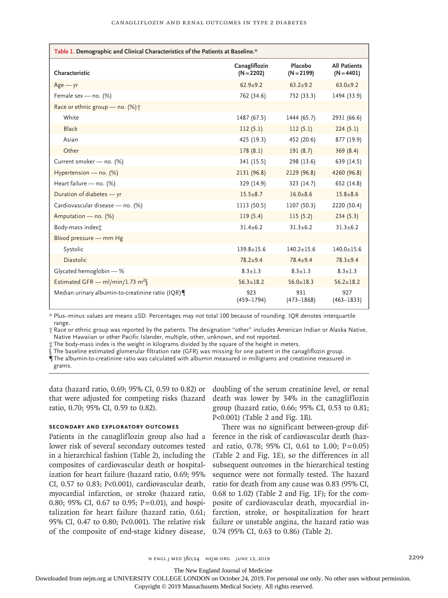| Table 1. Demographic and Clinical Characteristics of the Patients at Baseline.* |                               |                         |                                     |  |  |  |  |
|---------------------------------------------------------------------------------|-------------------------------|-------------------------|-------------------------------------|--|--|--|--|
| Characteristic                                                                  | Canagliflozin<br>$(N = 2202)$ | Placebo<br>$(N = 2199)$ | <b>All Patients</b><br>$(N = 4401)$ |  |  |  |  |
| $Age - yr$                                                                      | $62.9 + 9.2$                  | $63.2 + 9.2$            | $63.0 + 9.2$                        |  |  |  |  |
| Female sex - no. (%)                                                            | 762 (34.6)                    | 732 (33.3)              | 1494 (33.9)                         |  |  |  |  |
| Race or ethnic group - no. (%) +                                                |                               |                         |                                     |  |  |  |  |
| White                                                                           | 1487 (67.5)                   | 1444 (65.7)             | 2931 (66.6)                         |  |  |  |  |
| <b>Black</b>                                                                    | 112(5.1)                      | 112(5.1)                | 224(5.1)                            |  |  |  |  |
| Asian                                                                           | 425 (19.3)                    | 452 (20.6)              | 877 (19.9)                          |  |  |  |  |
| Other                                                                           | 178(8.1)                      | 191(8.7)                | 369(8.4)                            |  |  |  |  |
| Current smoker - no. (%)                                                        | 341 (15.5)                    | 298 (13.6)              | 639 (14.5)                          |  |  |  |  |
| Hypertension - no. (%)                                                          | 2131 (96.8)                   | 2129 (96.8)             | 4260 (96.8)                         |  |  |  |  |
| Heart failure - no. (%)                                                         | 329 (14.9)                    | 323 (14.7)              | 652 (14.8)                          |  |  |  |  |
| Duration of diabetes - yr                                                       | $15.5 \pm 8.7$                | $16.0 \pm 8.6$          | $15.8 \pm 8.6$                      |  |  |  |  |
| Cardiovascular disease - no. (%)                                                | 1113 (50.5)                   | 1107 (50.3)             | 2220 (50.4)                         |  |  |  |  |
| Amputation - no. (%)                                                            | 119(5.4)                      | 115(5.2)                | 234(5.3)                            |  |  |  |  |
| Body-mass indext                                                                | $31.4 + 6.2$                  | $31.3 + 6.2$            | $31.3 + 6.2$                        |  |  |  |  |
| Blood pressure - mm Hg                                                          |                               |                         |                                     |  |  |  |  |
| Systolic                                                                        | $139.8 \pm 15.6$              | $140.2 \pm 15.6$        | $140.0 \pm 15.6$                    |  |  |  |  |
| <b>Diastolic</b>                                                                | $78.2 + 9.4$                  | $78.4 + 9.4$            | $78.3 + 9.4$                        |  |  |  |  |
| Glycated hemoglobin - %                                                         | $8.3 + 1.3$                   | $8.3 + 1.3$             | $8.3 \pm 1.3$                       |  |  |  |  |
| Estimated GFR - ml/min/1.73 m <sup>2</sup>                                      | $56.3 + 18.2$                 | $56.0 \pm 18.3$         | $56.2 + 18.2$                       |  |  |  |  |
| Median urinary albumin-to-creatinine ratio (IQR)                                | 923<br>$(459 - 1794)$         | 931<br>$(473 - 1868)$   | 927<br>$(463 - 1833)$               |  |  |  |  |

\* Plus–minus values are means ±SD. Percentages may not total 100 because of rounding. IQR denotes interquartile range.

† Race or ethnic group was reported by the patients. The designation "other" includes American Indian or Alaska Native, Native Hawaiian or other Pacific Islander, multiple, other, unknown, and not reported.

‡ The body-mass index is the weight in kilograms divided by the square of the height in meters.

The baseline estimated glomerular filtration rate (GFR) was missing for one patient in the canagliflozin group.

¶ The albumin-to-creatinine ratio was calculated with albumin measured in milligrams and creatinine measured in grams.

data (hazard ratio, 0.69; 95% CI, 0.59 to 0.82) or that were adjusted for competing risks (hazard ratio, 0.70; 95% CI, 0.59 to 0.82).

# **Secondary and Exploratory Outcomes**

Patients in the canagliflozin group also had a lower risk of several secondary outcomes tested in a hierarchical fashion (Table 2), including the composites of cardiovascular death or hospitalization for heart failure (hazard ratio, 0.69; 95% CI, 0.57 to 0.83; P<0.001), cardiovascular death, myocardial infarction, or stroke (hazard ratio, 0.80; 95% CI, 0.67 to 0.95; P=0.01), and hospitalization for heart failure (hazard ratio, 0.61; 95% CI, 0.47 to 0.80; P<0.001). The relative risk of the composite of end-stage kidney disease,

doubling of the serum creatinine level, or renal death was lower by 34% in the canagliflozin group (hazard ratio, 0.66; 95% CI, 0.53 to 0.81; P<0.001) (Table 2 and Fig. 1B).

There was no significant between-group difference in the risk of cardiovascular death (hazard ratio, 0.78; 95% CI, 0.61 to 1.00;  $P=0.05$ ) (Table 2 and Fig. 1E), so the differences in all subsequent outcomes in the hierarchical testing sequence were not formally tested. The hazard ratio for death from any cause was 0.83 (95% CI, 0.68 to 1.02) (Table 2 and Fig. 1F); for the composite of cardiovascular death, myocardial infarction, stroke, or hospitalization for heart failure or unstable angina, the hazard ratio was 0.74 (95% CI, 0.63 to 0.86) (Table 2).

The New England Journal of Medicine

Downloaded from nejm.org at UNIVERSITY COLLEGE LONDON on October 24, 2019. For personal use only. No other uses without permission.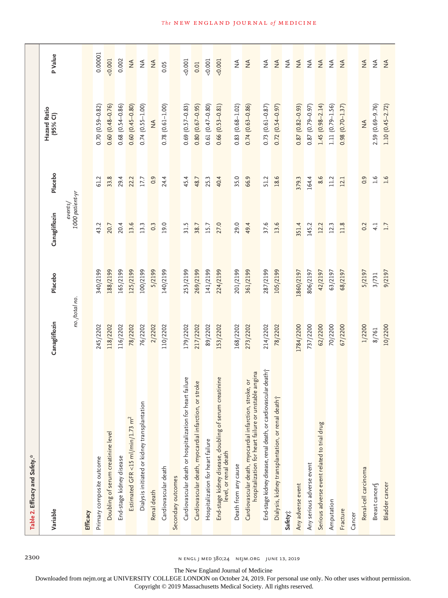| Table 2. Efficacy and Safety.*                                                                                  |               |           |                              |                  |                          |                                                                                                    |
|-----------------------------------------------------------------------------------------------------------------|---------------|-----------|------------------------------|------------------|--------------------------|----------------------------------------------------------------------------------------------------|
| Variable                                                                                                        | Canagliflozin | Placebo   | Canagliflozin                | Placebo          | Hazard Ratio<br>(95% CI) | P Value                                                                                            |
|                                                                                                                 | no./total no. |           | $1000$ patient-yr<br>events/ |                  |                          |                                                                                                    |
| Efficacy                                                                                                        |               |           |                              |                  |                          |                                                                                                    |
| Primary composite outcome                                                                                       | 245/2202      | 340/2199  | 43.2                         | 61.2             | $0.70(0.59 - 0.82)$      | 0.00001                                                                                            |
| Doubling of serum creatinine level                                                                              | 118/2202      | 188/2199  | 20.7                         | 33.8             | $0.60(0.48 - 0.76)$      | 0.001                                                                                              |
| End-stage kidney disease                                                                                        | 116/2202      | 165/2199  | 20.4                         | 29.4             | $0.68$ $(0.54 - 0.86)$   | 0.002                                                                                              |
| Estimated GFR <15 ml/min/1.73 m <sup>2</sup>                                                                    | 78/2202       | 125/2199  | 13.6                         | 22.2             | $0.60(0.45 - 0.80)$      | $\frac{4}{2}$                                                                                      |
| Dialysis initiated or kidney transplantation                                                                    | 76/2202       | 100/2199  | 13.3                         | 17.7             | $0.74(0.55 - 1.00)$      | $\stackrel{\triangle}{\geq}$                                                                       |
| Renal death                                                                                                     | 2/2202        | 5/2199    | 0.3                          | 0.9              | $\lessgtr$               | $\frac{4}{2}$                                                                                      |
| Cardiovascular death                                                                                            | 110/2202      | 140/2199  | 19.0                         | 24.4             | $0.78$ $(0.61 - 1.00)$   | 0.05                                                                                               |
| Secondary outcomes                                                                                              |               |           |                              |                  |                          |                                                                                                    |
| Cardiovascular death or hospitalization for heart failure                                                       | 179/2202      | 253/2199  | 31.5                         | 45.4             | $0.69(0.57 - 0.83)$      | 0.001                                                                                              |
| Cardiovascular death, myocardial infarction, or stroke                                                          | 217/2202      | 269/2199  | 38.7                         | 48.7             | $0.80(0.67-0.95)$        | 0.01                                                                                               |
| Hospitalization for heart failure                                                                               | 89/2202       | 141/2199  | 15.7                         | 25.3             | $0.61(0.47 - 0.80)$      | 0.001                                                                                              |
| End-stage kidney disease, doubling of serum creatinine<br>level, or renal death                                 | 153/2202      | 224/2199  | 27.0                         | 40.4             | $0.66(0.53 - 0.81)$      | 0.001                                                                                              |
| Death from any cause                                                                                            | 168/2202      | 201/2199  | 29.0                         | 35.0             | $0.83(0.68 - 1.02)$      | $\mathop{\mathrel{\not\leq}}\limits_{{\mathrel{\mathrel{\sqsubset}}} }$                            |
| hospitalization for heart failure or unstable angina<br>Cardiovascular death, myocardial infarction, stroke, or | 273/2202      | 361/2199  | 49.4                         | 66.9             | $0.74(0.63 - 0.86)$      | $\stackrel{\triangle}{\geq}$                                                                       |
| End-stage kidney disease, renal death, or cardiovascular death j                                                | 214/2202      | 287/2199  | 37.6                         | 51.2             | $0.73$ $(0.61 - 0.87)$   | $\mathop{\mathrel{\leq}\hspace{0.5pt}}\nolimits_{\mathrel{\mathrel{\leq}\hspace{0.5pt}}\nolimits}$ |
| Dialysis, kidney transplantation, or renal death;                                                               | 78/2202       | 105/2199  | 13.6                         | 18.6             | $0.72(0.54 - 0.97)$      | $\stackrel{\triangle}{\geq}$                                                                       |
| Safety <sub>1</sub>                                                                                             |               |           |                              |                  |                          | $\mathop{\mathrel{\not\leq}}\limits_{{\mathrel{\sqsubset}}}$                                       |
| Any adverse event                                                                                               | 1784/2200     | 1860/2197 | 351.4                        | 379.3            | $0.87(0.82 - 0.93)$      | $\stackrel{\triangle}{\geq}$                                                                       |
| Any serious adverse event                                                                                       | 737/2200      | 806/2197  | 145.2                        | 164.4            | $0.87(0.79 - 0.97)$      | $\mathop{\mathrel{\not\leq}}\limits_{{\mathrel{\sqsubset}}}$                                       |
| Serious adverse event related to trial drug                                                                     | 62/2200       | 42/2197   | 12.2                         | 8.6              | $1.45(0.98 - 2.14)$      | $\stackrel{\triangle}{\geq}$                                                                       |
| Amputation                                                                                                      | 70/2200       | 63/2197   | 12.3                         | 11.2             | $1.11(0.79 - 1.56)$      | $\lessapprox$                                                                                      |
| Fracture                                                                                                        | 67/2200       | 68/2197   | 11.8                         | 12.1             | $0.98(0.70 - 1.37)$      | $\mathop{\leq}\limits_{\mathrel{{\mathcal L}}}$                                                    |
| Cancer                                                                                                          |               |           |                              |                  |                          |                                                                                                    |
| Renal-cell carcinoma                                                                                            | 1/2200        | 5/2197    | 0.2                          | 0.9              | $\frac{4}{2}$            | $\stackrel{\triangle}{\geq}$                                                                       |
| Breast cancer                                                                                                   | 8/761         | 3/731     | 4.1                          | $\overline{1.6}$ | 2.59 (0.69-9.76)         | $\stackrel{\triangle}{\geq}$                                                                       |
| Bladder cancer                                                                                                  | 10/2200       | 9/2197    | 1.7                          | 1.6              | $1.10(0.45 - 2.72)$      | $\frac{4}{2}$                                                                                      |

2300 n engl j med 380;24 nejm.org June 13, 2019

The New England Journal of Medicine

Downloaded from nejm.org at UNIVERSITY COLLEGE LONDON on October 24, 2019. For personal use only. No other uses without permission.

Copyright © 2019 Massachusetts Medical Society. All rights reserved.

# **The NEW ENGLAND JOURNAL of MEDICINE**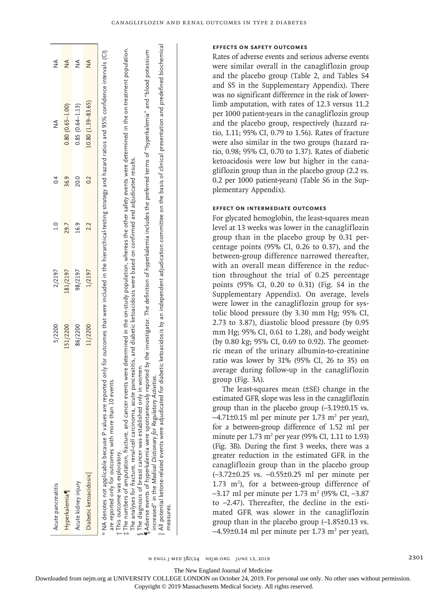| Acute pancreatitis                                                                                                                                                                                                                                                                                                                                                                                                                                                                                                                                                                                                                                                                                                                                                                                                                      | 5/2200   | 2/2197   | $\frac{1}{1}$ | 0.4  | $\frac{1}{2}$                                                                                                                      | $\frac{4}{2}$ |
|-----------------------------------------------------------------------------------------------------------------------------------------------------------------------------------------------------------------------------------------------------------------------------------------------------------------------------------------------------------------------------------------------------------------------------------------------------------------------------------------------------------------------------------------------------------------------------------------------------------------------------------------------------------------------------------------------------------------------------------------------------------------------------------------------------------------------------------------|----------|----------|---------------|------|------------------------------------------------------------------------------------------------------------------------------------|---------------|
| Hyperkalemia                                                                                                                                                                                                                                                                                                                                                                                                                                                                                                                                                                                                                                                                                                                                                                                                                            | 151/2200 | 181/2197 | 29.7          | 36.9 | $0.80(0.65 - 1.00)$                                                                                                                | $\frac{4}{2}$ |
| Acute kidney injury                                                                                                                                                                                                                                                                                                                                                                                                                                                                                                                                                                                                                                                                                                                                                                                                                     | 86/2200  | 98/2197  | 16.9          | 20.0 | $0.85(0.64 - 1.13)$                                                                                                                | $\frac{4}{2}$ |
| Diabetic ketoacidosis                                                                                                                                                                                                                                                                                                                                                                                                                                                                                                                                                                                                                                                                                                                                                                                                                   | 11/2200  | 1/2197   | 2.2           | 0.2  | $10.80(1.39-83.65)$                                                                                                                | $\frac{4}{2}$ |
| ¶Adverse events of hyperkalemia were spontaneously reported by the investigator. The definition of hyperkalemia includes the preferred terms of "hyperkalemia" and "blood potassium<br>* NA denotes not applicable because P values are reported only for outcomes that were included in the hierarchical-testing strategy and hazard ratios and 95% confidence intervals (CI)<br>The analyses for fracture, renal-cell carcinoma, acute pancreatitis, and diabetic ketoacidosis were based on confirmed and adjudicated results.<br>ily in women.<br>Activities.<br>events.<br>are reported only for outcomes with more than 10<br>t The numbers of amputation, fracture, and cancer<br>If The diagnosis of breast cancer was established on<br>increased" in the Medical Dictionary for Regulatory<br>t This outcome was exploratory. |          |          |               |      | events were determined in the on-study population, whereas the other safety events were determined in the on-treatment population. |               |
| All potential ketone-related events were adjudicated for diabetic ketoacidosis by an independent adjudication committee on the basis of clinical presentation and predefined biochemical                                                                                                                                                                                                                                                                                                                                                                                                                                                                                                                                                                                                                                                |          |          |               |      |                                                                                                                                    |               |

 $\parallel$  All potential ketone-related events were adjudicated for diabetic ketoacidosis by an independent adjudication committee on the basis of clinical presentation and predefined biochemical

#### **Effects on Safety Outcomes**

Rates of adverse events and serious adverse events were similar overall in the canagliflozin group and the placebo group (Table 2, and Tables S4 and S5 in the Supplementary Appendix). There was no significant difference in the risk of lowerlimb amputation, with rates of 12.3 versus 11.2 per 1000 patient-years in the canagliflozin group and the placebo group, respectively (hazard ratio, 1.11; 95% CI, 0.79 to 1.56). Rates of fracture were also similar in the two groups (hazard ratio, 0.98; 95% CI, 0.70 to 1.37). Rates of diabetic ketoacidosis were low but higher in the canagliflozin group than in the placebo group (2.2 vs. 0.2 per 1000 patient-years) (Table S6 in the Supplementary Appendix).

# **Effect on Intermediate Outcomes**

For glycated hemoglobin, the least-squares mean level at 13 weeks was lower in the canagliflozin group than in the placebo group by 0.31 percentage points (95% CI, 0.26 to 0.37), and the between-group difference narrowed thereafter, with an overall mean difference in the reduction throughout the trial of 0.25 percentage points (95% CI, 0.20 to 0.31) (Fig. S4 in the Supplementary Appendix). On average, levels were lower in the canagliflozin group for systolic blood pressure (by 3.30 mm Hg; 95% CI, 2.73 to 3.87), diastolic blood pressure (by 0.95 mm Hg; 95% CI, 0.61 to 1.28), and body weight (by 0.80 kg; 95% CI, 0.69 to 0.92). The geometric mean of the urinary albumin-to-creatinine ratio was lower by 31% (95% CI, 26 to 35) on average during follow-up in the canagliflozin group (Fig. 3A).

The least-squares mean (±SE) change in the estimated GFR slope was less in the canagliflozin group than in the placebo group (–3.19±0.15 vs.  $-4.71\pm0.15$  ml per minute per 1.73 m<sup>2</sup> per year), for a between-group difference of 1.52 ml per minute per  $1.73 \text{ m}^2$  per year (95% CI, 1.11 to 1.93) (Fig. 3B). During the first 3 weeks, there was a greater reduction in the estimated GFR in the canagliflozin group than in the placebo group (–3.72±0.25 vs. –0.55±0.25 ml per minute per  $1.73$  m<sup>2</sup>), for a between-group difference of  $-3.17$  ml per minute per 1.73 m<sup>2</sup> (95% CI,  $-3.87$ ) to –2.47). Thereafter, the decline in the estimated GFR was slower in the canagliflozin group than in the placebo group (–1.85±0.13 vs.  $-4.59\pm0.14$  ml per minute per 1.73 m<sup>2</sup> per year),

n engl j med 380;24 nejm.org June 13, 2019 2301

measures.

measures.

The New England Journal of Medicine

Downloaded from nejm.org at UNIVERSITY COLLEGE LONDON on October 24, 2019. For personal use only. No other uses without permission.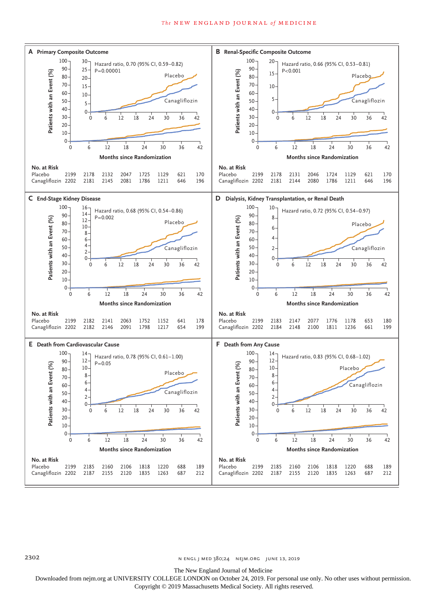# *The* NEW ENGLAND JOURNAL *of* MEDICINE



**N ENGL J MED 380;24 NEIM.ORG JUNE 13, 2019** 

The New England Journal of Medicine

Downloaded from nejm.org at UNIVERSITY COLLEGE LONDON on October 24, 2019. For personal use only. No other uses without permission.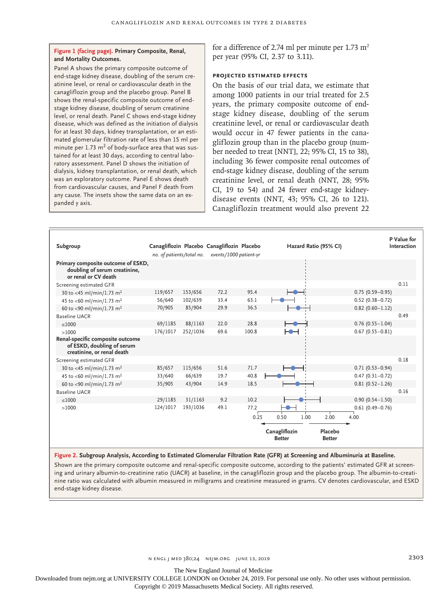# **Figure 1 (facing page). Primary Composite, Renal, and Mortality Outcomes.**

Panel A shows the primary composite outcome of end-stage kidney disease, doubling of the serum creatinine level, or renal or cardiovascular death in the canagliflozin group and the placebo group. Panel B shows the renal-specific composite outcome of endstage kidney disease, doubling of serum creatinine level, or renal death. Panel C shows end-stage kidney disease, which was defined as the initiation of dialysis for at least 30 days, kidney transplantation, or an estimated glomerular filtration rate of less than 15 ml per minute per  $1.73 \text{ m}^2$  of body-surface area that was sustained for at least 30 days, according to central laboratory assessment. Panel D shows the initiation of dialysis, kidney transplantation, or renal death, which was an exploratory outcome. Panel E shows death from cardiovascular causes, and Panel F death from any cause. The insets show the same data on an expanded y axis.

for a difference of 2.74 ml per minute per 1.73  $m<sup>2</sup>$ per year (95% CI, 2.37 to 3.11).

# **Projected Estimated Effects**

On the basis of our trial data, we estimate that among 1000 patients in our trial treated for 2.5 years, the primary composite outcome of endstage kidney disease, doubling of the serum creatinine level, or renal or cardiovascular death would occur in 47 fewer patients in the canagliflozin group than in the placebo group (number needed to treat [NNT], 22; 95% CI, 15 to 38), including 36 fewer composite renal outcomes of end-stage kidney disease, doubling of the serum creatinine level, or renal death (NNT, 28; 95% CI, 19 to 54) and 24 fewer end-stage kidneydisease events (NNT, 43; 95% CI, 26 to 121). Canagliflozin treatment would also prevent 22

| Subgroup                                                                                     | no. of patients/total no. |          | Canagliflozin Placebo Canagliflozin Placebo<br>events/1000 patient-yr |       | Hazard Ratio (95% CI)          |                          |                     | P Value for<br>Interaction |
|----------------------------------------------------------------------------------------------|---------------------------|----------|-----------------------------------------------------------------------|-------|--------------------------------|--------------------------|---------------------|----------------------------|
| Primary composite outcome of ESKD,<br>doubling of serum creatinine,<br>or renal or CV death  |                           |          |                                                                       |       |                                |                          |                     |                            |
| Screening estimated GFR                                                                      |                           |          |                                                                       |       |                                |                          |                     | 0.11                       |
| 30 to <45 ml/min/1.73 m <sup>2</sup>                                                         | 119/657                   | 153/656  | 72.2                                                                  | 95.4  |                                |                          | $0.75(0.59 - 0.95)$ |                            |
| 45 to <60 ml/min/1.73 m <sup>2</sup>                                                         | 56/640                    | 102/639  | 33.4                                                                  | 63.1  |                                |                          | $0.52(0.38 - 0.72)$ |                            |
| 60 to <90 ml/min/1.73 m <sup>2</sup>                                                         | 70/905                    | 85/904   | 29.9                                                                  | 36.5  |                                |                          | $0.82$ (0.60-1.12)  |                            |
| Baseline UACR                                                                                |                           |          |                                                                       |       |                                |                          |                     | 0.49                       |
| $\leq 1000$                                                                                  | 69/1185                   | 88/1163  | 22.0                                                                  | 28.8  |                                |                          | $0.76(0.55 - 1.04)$ |                            |
| >1000                                                                                        | 176/1017                  | 252/1036 | 69.6                                                                  | 100.8 | ⊢●⊣                            |                          | $0.67(0.55 - 0.81)$ |                            |
| Renal-specific composite outcome<br>of ESKD, doubling of serum<br>creatinine, or renal death |                           |          |                                                                       |       |                                |                          |                     |                            |
| Screening estimated GFR                                                                      |                           |          |                                                                       |       |                                |                          |                     | 0.18                       |
| 30 to <45 ml/min/1.73 m <sup>2</sup>                                                         | 85/657                    | 115/656  | 51.6                                                                  | 71.7  |                                |                          | $0.71(0.53 - 0.94)$ |                            |
| 45 to <60 ml/min/1.73 m <sup>2</sup>                                                         | 33/640                    | 66/639   | 19.7                                                                  | 40.8  |                                |                          | $0.47(0.31 - 0.72)$ |                            |
| 60 to <90 ml/min/1.73 m <sup>2</sup>                                                         | 35/905                    | 43/904   | 14.9                                                                  | 18.5  |                                |                          | $0.81(0.52 - 1.26)$ |                            |
| Baseline UACR                                                                                |                           |          |                                                                       |       |                                |                          |                     | 0.16                       |
| < 1000                                                                                       | 29/1185                   | 31/1163  | 9.2                                                                   | 10.2  |                                |                          | $0.90(0.54 - 1.50)$ |                            |
| >1000                                                                                        | 124/1017                  | 193/1036 | 49.1                                                                  | 77.2  |                                |                          | $0.61(0.49 - 0.76)$ |                            |
|                                                                                              |                           |          |                                                                       | 0.25  | 0.50<br>1.00                   | 2.00<br>4.00             |                     |                            |
|                                                                                              |                           |          |                                                                       |       |                                |                          |                     |                            |
|                                                                                              |                           |          |                                                                       |       | Canagliflozin<br><b>Better</b> | Placebo<br><b>Better</b> |                     |                            |

**Figure 2. Subgroup Analysis, According to Estimated Glomerular Filtration Rate (GFR) at Screening and Albuminuria at Baseline.**

Shown are the primary composite outcome and renal-specific composite outcome, according to the patients' estimated GFR at screening and urinary albumin-to-creatinine ratio (UACR) at baseline, in the canagliflozin group and the placebo group. The albumin-to-creatinine ratio was calculated with albumin measured in milligrams and creatinine measured in grams. CV denotes cardiovascular, and ESKD end-stage kidney disease.

The New England Journal of Medicine

Downloaded from nejm.org at UNIVERSITY COLLEGE LONDON on October 24, 2019. For personal use only. No other uses without permission.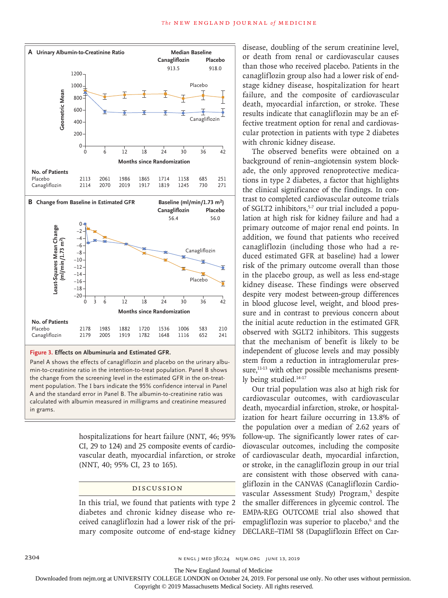

**Figure 3. Effects on Albuminuria and Estimated GFR.**

Panel A shows the effects of canagliflozin and placebo on the urinary albumin-to-creatinine ratio in the intention-to-treat population. Panel B shows the change from the screening level in the estimated GFR in the on-treatment population. The I bars indicate the 95% confidence interval in Panel A and the standard error in Panel B. The albumin-to-creatinine ratio was calculated with albumin measured in milligrams and creatinine measured in grams.

> hospitalizations for heart failure (NNT, 46; 95% CI, 29 to 124) and 25 composite events of cardiovascular death, myocardial infarction, or stroke (NNT, 40; 95% CI, 23 to 165).

# Discussion

In this trial, we found that patients with type 2 diabetes and chronic kidney disease who received canagliflozin had a lower risk of the primary composite outcome of end-stage kidney disease, doubling of the serum creatinine level, or death from renal or cardiovascular causes than those who received placebo. Patients in the canagliflozin group also had a lower risk of endstage kidney disease, hospitalization for heart failure, and the composite of cardiovascular death, myocardial infarction, or stroke. These results indicate that canagliflozin may be an effective treatment option for renal and cardiovascular protection in patients with type 2 diabetes with chronic kidney disease.

The observed benefits were obtained on a background of renin–angiotensin system blockade, the only approved renoprotective medications in type 2 diabetes, a factor that highlights the clinical significance of the findings. In contrast to completed cardiovascular outcome trials of SGLT2 inhibitors,<sup>5-7</sup> our trial included a population at high risk for kidney failure and had a primary outcome of major renal end points. In addition, we found that patients who received canagliflozin (including those who had a reduced estimated GFR at baseline) had a lower risk of the primary outcome overall than those in the placebo group, as well as less end-stage kidney disease. These findings were observed despite very modest between-group differences in blood glucose level, weight, and blood pressure and in contrast to previous concern about the initial acute reduction in the estimated GFR observed with SGLT2 inhibitors. This suggests that the mechanism of benefit is likely to be independent of glucose levels and may possibly stem from a reduction in intraglomerular pressure,<sup>11-13</sup> with other possible mechanisms presently being studied.<sup>14-17</sup>

Our trial population was also at high risk for cardiovascular outcomes, with cardiovascular death, myocardial infarction, stroke, or hospitalization for heart failure occurring in 13.8% of the population over a median of 2.62 years of follow-up. The significantly lower rates of cardiovascular outcomes, including the composite of cardiovascular death, myocardial infarction, or stroke, in the canagliflozin group in our trial are consistent with those observed with canagliflozin in the CANVAS (Canagliflozin Cardiovascular Assessment Study) Program,<sup>5</sup> despite the smaller differences in glycemic control. The EMPA-REG OUTCOME trial also showed that empagliflozin was superior to placebo,<sup>6</sup> and the DECLARE–TIMI 58 (Dapagliflozin Effect on Car-

The New England Journal of Medicine

Downloaded from nejm.org at UNIVERSITY COLLEGE LONDON on October 24, 2019. For personal use only. No other uses without permission.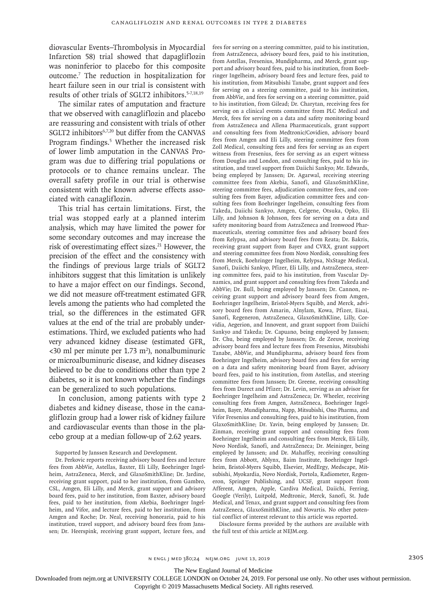diovascular Events–Thrombolysis in Myocardial Infarction 58) trial showed that dapagliflozin was noninferior to placebo for this composite outcome.7 The reduction in hospitalization for heart failure seen in our trial is consistent with results of other trials of SGLT2 inhibitors.5-7,18,19

The similar rates of amputation and fracture that we observed with canagliflozin and placebo are reassuring and consistent with trials of other SGLT2 inhibitors<sup>6,7,20</sup> but differ from the CANVAS Program findings.<sup>5</sup> Whether the increased risk of lower limb amputation in the CANVAS Program was due to differing trial populations or protocols or to chance remains unclear. The overall safety profile in our trial is otherwise consistent with the known adverse effects associated with canagliflozin.

This trial has certain limitations. First, the trial was stopped early at a planned interim analysis, which may have limited the power for some secondary outcomes and may increase the risk of overestimating effect sizes.<sup>21</sup> However, the precision of the effect and the consistency with the findings of previous large trials of SGLT2 inhibitors suggest that this limitation is unlikely to have a major effect on our findings. Second, we did not measure off-treatment estimated GFR levels among the patients who had completed the trial, so the differences in the estimated GFR values at the end of the trial are probably underestimations. Third, we excluded patients who had very advanced kidney disease (estimated GFR,  $<30$  ml per minute per 1.73 m<sup>2</sup>), nonalbuminuric or microalbuminuric disease, and kidney diseases believed to be due to conditions other than type 2 diabetes, so it is not known whether the findings can be generalized to such populations.

In conclusion, among patients with type 2 diabetes and kidney disease, those in the canagliflozin group had a lower risk of kidney failure and cardiovascular events than those in the placebo group at a median follow-up of 2.62 years.

Supported by Janssen Research and Development.

Dr. Perkovic reports receiving advisory board fees and lecture fees from AbbVie, Astellas, Baxter, Eli Lilly, Boehringer Ingelheim, AstraZeneca, Merck, and GlaxoSmithKline; Dr. Jardine, receiving grant support, paid to her institution, from Gambro, CSL, Amgen, Eli Lilly, and Merck, grant support and advisory board fees, paid to her institution, from Baxter, advisory board fees, paid to her institution, from Akebia, Boehringer Ingelheim, and Vifor, and lecture fees, paid to her institution, from Amgen and Roche; Dr. Neal, receiving honoraria, paid to his institution, travel support, and advisory board fees from Janssen; Dr. Heerspink, receiving grant support, lecture fees, and fees for serving on a steering committee, paid to his institution, from AstraZeneca, advisory board fees, paid to his institution, from Astellas, Fresenius, Mundipharma, and Merck, grant support and advisory board fees, paid to his institution, from Boehringer Ingelheim, advisory board fees and lecture fees, paid to his institution, from Mitsubishi Tanabe, grant support and fees for serving on a steering committee, paid to his institution, from AbbVie, and fees for serving on a steering committee, paid to his institution, from Gilead; Dr. Charytan, receiving fees for serving on a clinical events committee from PLC Medical and Merck, fees for serving on a data and safety monitoring board from AstraZeneca and Allena Pharmaceuticals, grant support and consulting fees from Medtronic/Covidien, advisory board fees from Amgen and Eli Lilly, steering committee fees from Zoll Medical, consulting fees and fees for serving as an expert witness from Fresenius, fees for serving as an expert witness from Douglas and London, and consulting fees, paid to his institution, and travel support from Daiichi Sankyo; Mr. Edwards, being employed by Janssen; Dr. Agarwal, receiving steering committee fees from Akebia, Sanofi, and GlaxoSmithKline, steering committee fees, adjudication committee fees, and consulting fees from Bayer, adjudication committee fees and consulting fees from Boehringer Ingelheim, consulting fees from Takeda, Daiichi Sankyo, Amgen, Celgene, Otsuka, Opko, Eli Lilly, and Johnson & Johnson, fees for serving on a data and safety monitoring board from AstraZeneca and Ironwood Pharmaceuticals, steering committee fees and advisory board fees from Relypsa, and advisory board fees from Reata; Dr. Bakris, receiving grant support from Bayer and CVRX, grant support and steering committee fees from Novo Nordisk, consulting fees from Merck, Boehringer Ingelheim, Relypsa, NxStage Medical, Sanofi, Daiichi Sankyo, Pfizer, Eli Lilly, and AstraZeneca, steering committee fees, paid to his institution, from Vascular Dynamics, and grant support and consulting fees from Takeda and AbbVie; Dr. Bull, being employed by Janssen; Dr. Cannon, receiving grant support and advisory board fees from Amgen, Boehringer Ingelheim, Bristol-Myers Squibb, and Merck, advisory board fees from Amarin, Alnylam, Kowa, Pfizer, Eisai, Sanofi, Regeneron, AstraZeneca, GlaxoSmithKline, Lilly, Corvidia, Aegerion, and Innovent, and grant support from Daiichi Sankyo and Takeda; Dr. Capuano, being employed by Janssen; Dr. Chu, being employed by Janssen; Dr. de Zeeuw, receiving advisory board fees and lecture fees from Fresenius, Mitsubishi Tanabe, AbbVie, and Mundipharma, advisory board fees from Boehringer Ingelheim, advisory board fees and fees for serving on a data and safety monitoring board from Bayer, advisory board fees, paid to his institution, from Astellas, and steering committee fees from Janssen; Dr. Greene, receiving consulting fees from Durect and Pfizer; Dr. Levin, serving as an advisor for Boehringer Ingelheim and AstraZeneca; Dr. Wheeler, receiving consulting fees from Amgen, AstraZeneca, Boehringer Ingelheim, Bayer, Mundipharma, Napp, Mitsubishi, Ono Pharma, and Vifor Fresenius and consulting fees, paid to his institution, from GlaxoSmithKline; Dr. Yavin, being employed by Janssen; Dr. Zinman, receiving grant support and consulting fees from Boehringer Ingelheim and consulting fees from Merck, Eli Lilly, Novo Nordisk, Sanofi, and AstraZeneca; Dr. Meininger, being employed by Janssen; and Dr. Mahaffey, receiving consulting fees from Abbott, Ablynx, Baim Institute, Boehringer Ingelheim, Bristol-Myers Squibb, Elsevier, MedErgy, Medscape, Mitsubishi, Myokardia, Novo Nordisk, Portola, Radiometer, Regeneron, Springer Publishing, and UCSF, grant support from Afferent, Amgen, Apple, Cardiva Medical, Daiichi, Ferring, Google (Verily), Luitpold, Medtronic, Merck, Sanofi, St. Jude Medical, and Tenax, and grant support and consulting fees from AstraZeneca, GlaxoSmithKline, and Novartis. No other potential conflict of interest relevant to this article was reported.

Disclosure forms provided by the authors are available with the full text of this article at NEJM.org.

The New England Journal of Medicine

Downloaded from nejm.org at UNIVERSITY COLLEGE LONDON on October 24, 2019. For personal use only. No other uses without permission.